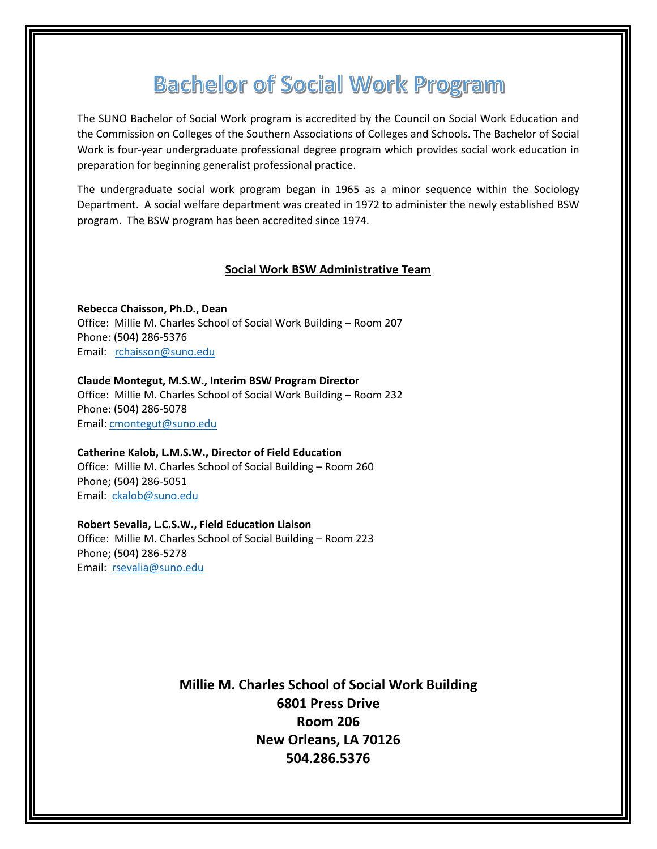# **Bachelor of Social Work Program**

The SUNO Bachelor of Social Work program is accredited by the Council on Social Work Education and the Commission on Colleges of the Southern Associations of Colleges and Schools. The Bachelor of Social Work is four-year undergraduate professional degree program which provides social work education in preparation for beginning generalist professional practice.

The undergraduate social work program began in 1965 as a minor sequence within the Sociology Department. A social welfare department was created in 1972 to administer the newly established BSW program. The BSW program has been accredited since 1974.

# **Social Work BSW Administrative Team**

**Rebecca Chaisson, Ph.D., Dean** Office: Millie M. Charles School of Social Work Building – Room 207 Phone: (504) 286-5376 Email: [rchaisson@suno.edu](mailto:rchaisson@suno.edu)

**Claude Montegut, M.S.W., Interim BSW Program Director** Office: Millie M. Charles School of Social Work Building – Room 232 Phone: (504) 286-5078 Email: [cmontegut@suno.edu](mailto:cmontegut@suno.edu)

**Catherine Kalob, L.M.S.W., Director of Field Education** Office: Millie M. Charles School of Social Building – Room 260 Phone; (504) 286-5051

Email: [ckalob@suno.edu](mailto:ckalob@suno.edu)

**Robert Sevalia, L.C.S.W., Field Education Liaison**

Office: Millie M. Charles School of Social Building – Room 223 Phone; (504) 286-5278 Email: [rsevalia@suno.edu](mailto:rsevalia@suno.edu)

> **Millie M. Charles School of Social Work Building 6801 Press Drive Room 206 New Orleans, LA 70126 504.286.5376**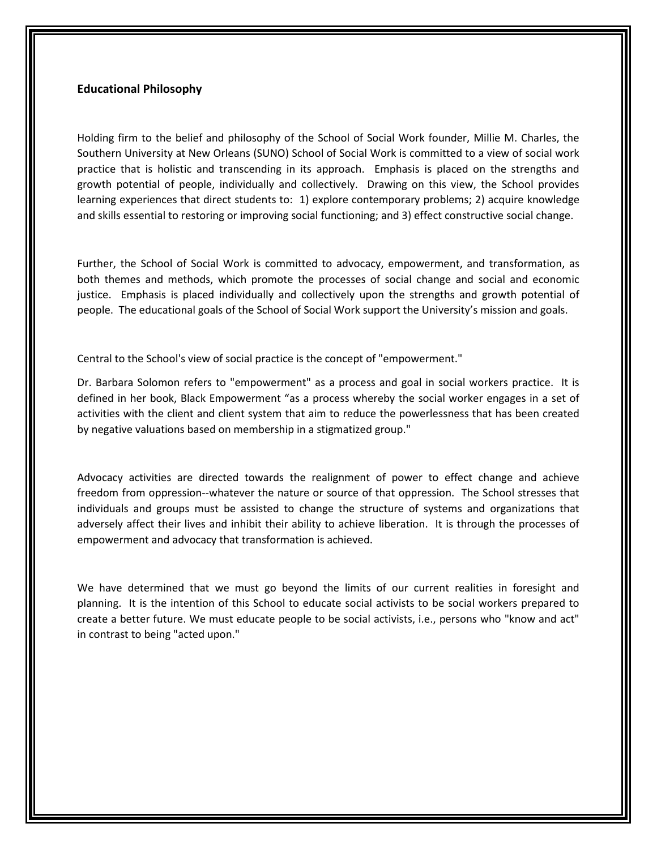# **Educational Philosophy**

Holding firm to the belief and philosophy of the School of Social Work founder, Millie M. Charles, the Southern University at New Orleans (SUNO) School of Social Work is committed to a view of social work practice that is holistic and transcending in its approach. Emphasis is placed on the strengths and growth potential of people, individually and collectively. Drawing on this view, the School provides learning experiences that direct students to: 1) explore contemporary problems; 2) acquire knowledge and skills essential to restoring or improving social functioning; and 3) effect constructive social change.

Further, the School of Social Work is committed to advocacy, empowerment, and transformation, as both themes and methods, which promote the processes of social change and social and economic justice. Emphasis is placed individually and collectively upon the strengths and growth potential of people. The educational goals of the School of Social Work support the University's mission and goals.

Central to the School's view of social practice is the concept of "empowerment."

Dr. Barbara Solomon refers to "empowerment" as a process and goal in social workers practice. It is defined in her book, Black Empowerment "as a process whereby the social worker engages in a set of activities with the client and client system that aim to reduce the powerlessness that has been created by negative valuations based on membership in a stigmatized group."

Advocacy activities are directed towards the realignment of power to effect change and achieve freedom from oppression--whatever the nature or source of that oppression. The School stresses that individuals and groups must be assisted to change the structure of systems and organizations that adversely affect their lives and inhibit their ability to achieve liberation. It is through the processes of empowerment and advocacy that transformation is achieved.

We have determined that we must go beyond the limits of our current realities in foresight and planning. It is the intention of this School to educate social activists to be social workers prepared to create a better future. We must educate people to be social activists, i.e., persons who "know and act" in contrast to being "acted upon."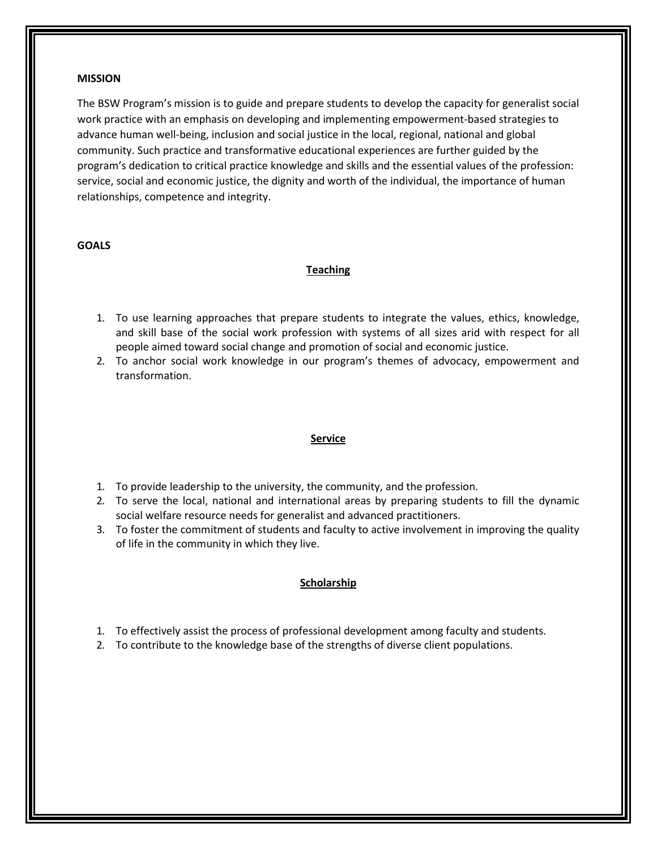## **MISSION**

The BSW Program's mission is to guide and prepare students to develop the capacity for generalist social work practice with an emphasis on developing and implementing empowerment-based strategies to advance human well-being, inclusion and social justice in the local, regional, national and global community. Such practice and transformative educational experiences are further guided by the program's dedication to critical practice knowledge and skills and the essential values of the profession: service, social and economic justice, the dignity and worth of the individual, the importance of human relationships, competence and integrity.

## **GOALS**

## **Teaching**

- 1. To use learning approaches that prepare students to integrate the values, ethics, knowledge, and skill base of the social work profession with systems of all sizes arid with respect for all people aimed toward social change and promotion of social and economic justice.
- 2. To anchor social work knowledge in our program's themes of advocacy, empowerment and transformation.

#### **Service**

- 1. To provide leadership to the university, the community, and the profession.
- 2. To serve the local, national and international areas by preparing students to fill the dynamic social welfare resource needs for generalist and advanced practitioners.
- 3. To foster the commitment of students and faculty to active involvement in improving the quality of life in the community in which they live.

# **Scholarship**

- 1. To effectively assist the process of professional development among faculty and students.
- 2. To contribute to the knowledge base of the strengths of diverse client populations.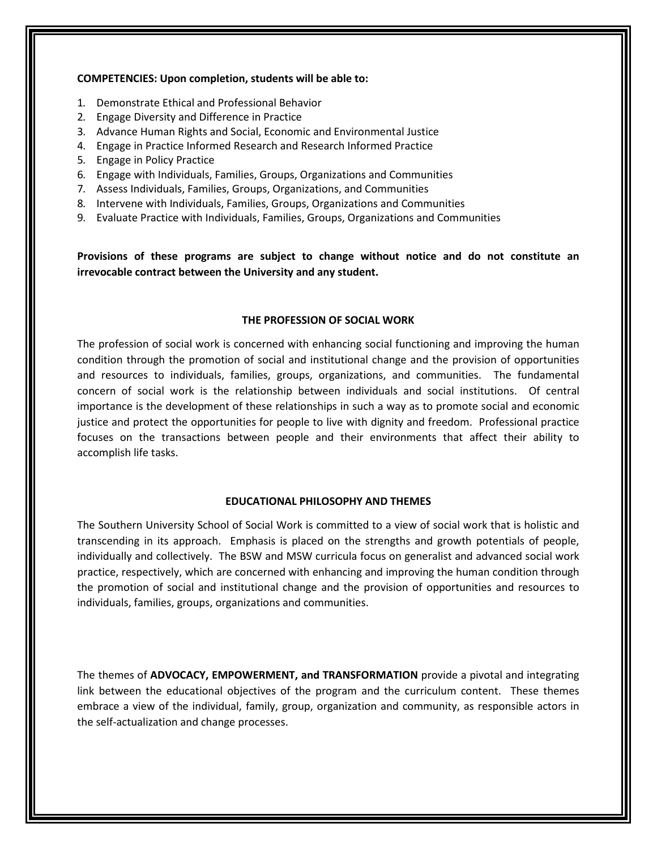## **COMPETENCIES: Upon completion, students will be able to:**

- 1. Demonstrate Ethical and Professional Behavior
- 2. Engage Diversity and Difference in Practice
- 3. Advance Human Rights and Social, Economic and Environmental Justice
- 4. Engage in Practice Informed Research and Research Informed Practice
- 5. Engage in Policy Practice
- 6. Engage with Individuals, Families, Groups, Organizations and Communities
- 7. Assess Individuals, Families, Groups, Organizations, and Communities
- 8. Intervene with Individuals, Families, Groups, Organizations and Communities
- 9. Evaluate Practice with Individuals, Families, Groups, Organizations and Communities

**Provisions of these programs are subject to change without notice and do not constitute an irrevocable contract between the University and any student.**

#### **THE PROFESSION OF SOCIAL WORK**

The profession of social work is concerned with enhancing social functioning and improving the human condition through the promotion of social and institutional change and the provision of opportunities and resources to individuals, families, groups, organizations, and communities. The fundamental concern of social work is the relationship between individuals and social institutions. Of central importance is the development of these relationships in such a way as to promote social and economic justice and protect the opportunities for people to live with dignity and freedom. Professional practice focuses on the transactions between people and their environments that affect their ability to accomplish life tasks.

#### **EDUCATIONAL PHILOSOPHY AND THEMES**

The Southern University School of Social Work is committed to a view of social work that is holistic and transcending in its approach. Emphasis is placed on the strengths and growth potentials of people, individually and collectively. The BSW and MSW curricula focus on generalist and advanced social work practice, respectively, which are concerned with enhancing and improving the human condition through the promotion of social and institutional change and the provision of opportunities and resources to individuals, families, groups, organizations and communities.

The themes of **ADVOCACY, EMPOWERMENT, and TRANSFORMATION** provide a pivotal and integrating link between the educational objectives of the program and the curriculum content. These themes embrace a view of the individual, family, group, organization and community, as responsible actors in the self-actualization and change processes.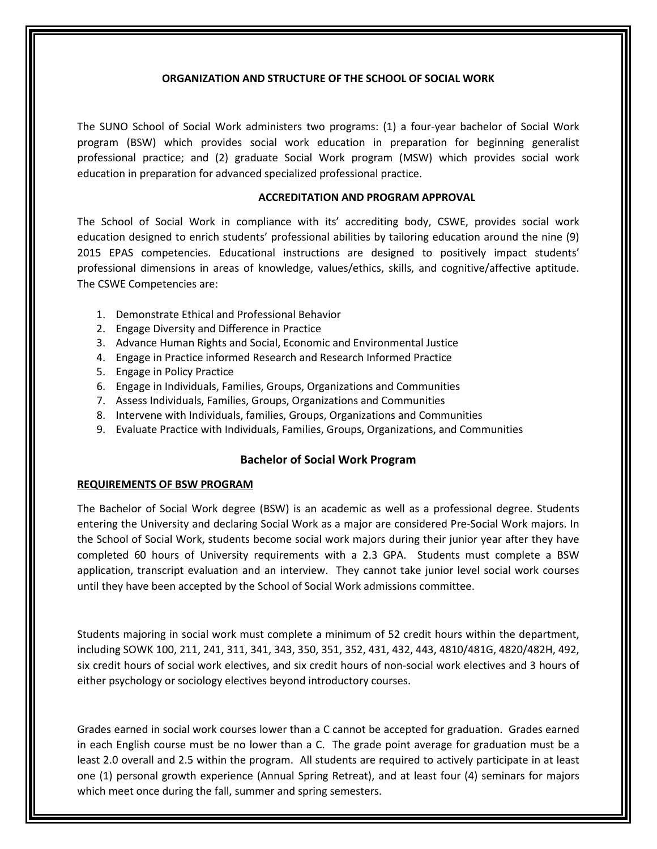## **ORGANIZATION AND STRUCTURE OF THE SCHOOL OF SOCIAL WORK**

The SUNO School of Social Work administers two programs: (1) a four-year bachelor of Social Work program (BSW) which provides social work education in preparation for beginning generalist professional practice; and (2) graduate Social Work program (MSW) which provides social work education in preparation for advanced specialized professional practice.

# **ACCREDITATION AND PROGRAM APPROVAL**

The School of Social Work in compliance with its' accrediting body, CSWE, provides social work education designed to enrich students' professional abilities by tailoring education around the nine (9) 2015 EPAS competencies. Educational instructions are designed to positively impact students' professional dimensions in areas of knowledge, values/ethics, skills, and cognitive/affective aptitude. The CSWE Competencies are:

- 1. Demonstrate Ethical and Professional Behavior
- 2. Engage Diversity and Difference in Practice
- 3. Advance Human Rights and Social, Economic and Environmental Justice
- 4. Engage in Practice informed Research and Research Informed Practice
- 5. Engage in Policy Practice
- 6. Engage in Individuals, Families, Groups, Organizations and Communities
- 7. Assess Individuals, Families, Groups, Organizations and Communities
- 8. Intervene with Individuals, families, Groups, Organizations and Communities
- 9. Evaluate Practice with Individuals, Families, Groups, Organizations, and Communities

# **Bachelor of Social Work Program**

## **REQUIREMENTS OF BSW PROGRAM**

The Bachelor of Social Work degree (BSW) is an academic as well as a professional degree. Students entering the University and declaring Social Work as a major are considered Pre-Social Work majors. In the School of Social Work, students become social work majors during their junior year after they have completed 60 hours of University requirements with a 2.3 GPA. Students must complete a BSW application, transcript evaluation and an interview. They cannot take junior level social work courses until they have been accepted by the School of Social Work admissions committee.

Students majoring in social work must complete a minimum of 52 credit hours within the department, including SOWK 100, 211, 241, 311, 341, 343, 350, 351, 352, 431, 432, 443, 4810/481G, 4820/482H, 492, six credit hours of social work electives, and six credit hours of non-social work electives and 3 hours of either psychology or sociology electives beyond introductory courses.

Grades earned in social work courses lower than a C cannot be accepted for graduation. Grades earned in each English course must be no lower than a C. The grade point average for graduation must be a least 2.0 overall and 2.5 within the program. All students are required to actively participate in at least one (1) personal growth experience (Annual Spring Retreat), and at least four (4) seminars for majors which meet once during the fall, summer and spring semesters.